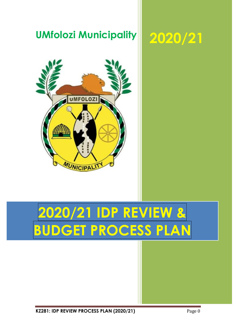

**KZ281: IDP REVIEW PROCESS PLAN (2020/21)** Page 0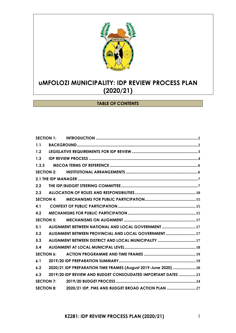

### **TABLE OF CONTENTS**

|                   | <b>SECTION 1:</b> |                                                                 |  |
|-------------------|-------------------|-----------------------------------------------------------------|--|
| 1.1               |                   |                                                                 |  |
| 1.2               |                   |                                                                 |  |
| 1.3               |                   |                                                                 |  |
| 1.3.3             |                   |                                                                 |  |
| <b>SECTION 2:</b> |                   |                                                                 |  |
|                   |                   |                                                                 |  |
| 2.2               |                   |                                                                 |  |
| 2.3               |                   |                                                                 |  |
| <b>SECTION 4:</b> |                   |                                                                 |  |
| 4.1               |                   |                                                                 |  |
| 4.2               |                   |                                                                 |  |
| <b>SECTION 5:</b> |                   |                                                                 |  |
| 5.1               |                   | ALIGNMENT BETWEEN NATIONAL AND LOCAL GOVERNMENT  17             |  |
| 5.2               |                   | ALIGNMENT BETWEEN PROVINCIAL AND LOCAL GOVERNMENT  17           |  |
| 5.3               |                   |                                                                 |  |
| 5.4               |                   |                                                                 |  |
| <b>SECTION 6:</b> |                   |                                                                 |  |
| 6.1               |                   |                                                                 |  |
| 6.2               |                   | 2020/21 IDP PREPARATION TIME FRAMES (August 2019-June 2020)  20 |  |
| 6.3               |                   | 2019/20 IDP REVIEW AND BUDGET CONSOLIDATED IMPORTANT DATES  23  |  |
| <b>SECTION 7:</b> |                   |                                                                 |  |
| <b>SECTION 8:</b> |                   | 2020/21 IDP, PMS AND BUDGET BROAD ACTION PLAN                   |  |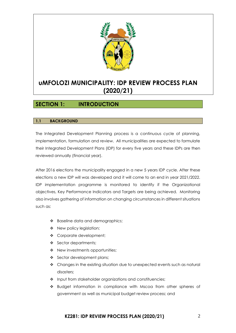

### <span id="page-2-0"></span>**SECTION 1: INTRODUCTION**

#### <span id="page-2-1"></span>**1.1 BACKGROUND**

The Integrated Development Planning process is a continuous cycle of planning, implementation, formulation and review. All municipalities are expected to formulate their Integrated Development Plans (IDP) for every five years and these IDPs are then reviewed annually (financial year).

After 2016 elections the municipality engaged in a new 5 years IDP cycle. After these elections a new IDP will was developed and it will come to an end in year 2021/2022. IDP implementation programme is monitored to identify if the Organizational objectives, Key Performance Indicators and Targets are being achieved. Monitoring also involves gathering of information on changing circumstances in different situations such as:

- ❖ Baseline data and demographics;
- ❖ New policy legislation;
- ❖ Corporate development;
- ❖ Sector departments;
- ❖ New investments opportunities;
- ❖ Sector development plans;
- ❖ Changes in the existing situation due to unexpected events such as natural disasters;
- ❖ Input from stakeholder organizations and constituencies;
- ❖ Budget information in compliance with Mscoa from other spheres of government as well as municipal budget review process; and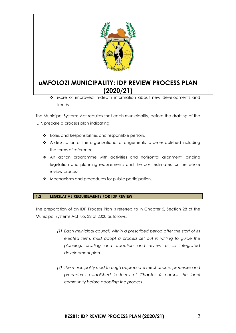

❖ More or improved in-depth information about new developments and trends.

The Municipal Systems Act requires that each municipality, before the drafting of the IDP, prepare a process plan indicating:

- ❖ Roles and Responsibilities and responsible persons
- ❖ A description of the organizational arrangements to be established including the terms of reference,
- ❖ An action programme with activities and horizontal alignment, binding legislation and planning requirements and the cost estimates for the whole review process,
- ❖ Mechanisms and procedures for public participation.

#### <span id="page-3-0"></span>**1.2 LEGISLATIVE REQUIREMENTS FOR IDP REVIEW**

The preparation of an IDP Process Plan is referred to in Chapter 5, Section 28 of the Municipal Systems Act No. 32 of 2000 as follows:

- *(1) Each municipal council, within a prescribed period after the start of its elected term, must adopt a process set out in writing to guide the planning, drafting and adoption and review of its integrated development plan.*
- *(2) The municipality must through appropriate mechanisms, processes and procedures established in terms of Chapter 4, consult the local community before adopting the process*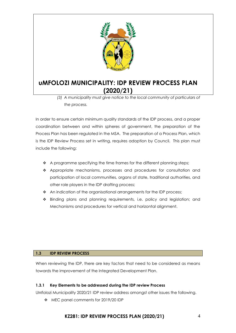

*(3) A municipality must give notice to the local community of particulars of the process.* 

In order to ensure certain minimum quality standards of the IDP process, and a proper coordination between and within spheres of government, the preparation of the Process Plan has been regulated in the MSA. The preparation of a Process Plan, which is the IDP Review Process set in writing, requires adoption by Council. This plan must include the following:

- ❖ A programme specifying the time frames for the different planning steps;
- ❖ Appropriate mechanisms, processes and procedures for consultation and participation of local communities, organs of state, traditional authorities, and other role players in the IDP drafting process;
- ❖ An indication of the organisational arrangements for the IDP process;
- ❖ Binding plans and planning requirements, i.e. policy and legislation; and Mechanisms and procedures for vertical and horizontal alignment.

### <span id="page-4-0"></span>**1.3 IDP REVIEW PROCESS**

When reviewing the IDP, there are key factors that need to be considered as means towards the improvement of the Integrated Development Plan.

### **1.3.1 Key Elements to be addressed during the IDP review Process**

UMfolozi Municipality 2020/21 IDP review address amongst other issues the following.

❖ MEC panel comments for 2019/20 IDP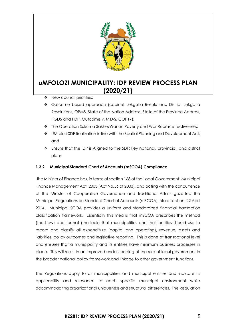

- ❖ New council priorities;
- ❖ Outcome based approach (cabinet Lekgotla Resolutions, District Lekgotla Resolutions, OPMS, State of the Nation Address, State of the Province Address, PGDS and PDP, Outcome 9, MTAS, COP17);
- ❖ The Operation Sukuma Sakhe/War on Poverty and War Rooms effectiveness;
- ❖ UMfolozi SDF finalization in line with the Spatial Planning and Development Act; and
- ❖ Ensure that the IDP is Aligned to the SDF; key national, provincial, and district plans.

#### **1.3.2 Municipal Standard Chart of Accounts (mSCOA) Compliance**

the Minister of Finance has, in terms of section 168 of the Local Government: Municipal Finance Management Act, 2003 (Act No.56 of 2003), and acting with the concurrence of the Minister of Cooperative Governance and Traditional Affairs gazetted the Municipal Regulations on Standard Chart of Accounts (mSCOA) into effect on 22 April 2014. Municipal SCOA provides a uniform and standardized financial transaction classification framework. Essentially this means that mSCOA prescribes the method (the how) and format (the look) that municipalities and their entities should use to record and classify all expenditure (capital and operating), revenue, assets and liabilities, policy outcomes and legislative reporting. This is done at transactional level and ensures that a municipality and its entities have minimum business processes in place. This will result in an improved understanding of the role of local government in the broader national policy framework and linkage to other government functions.

The Regulations apply to all municipalities and municipal entities and indicate its applicability and relevance to each specific municipal environment while accommodating organizational uniqueness and structural differences. The Regulation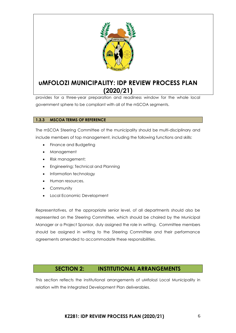

provides for a three-year preparation and readiness window for the whole local government sphere to be compliant with all of the mSCOA segments.

### <span id="page-6-0"></span>**1.3.3 MSCOA TERMS OF REFERENCE**

The mSCOA Steering Committee of the municipality should be multi-disciplinary and include members of top management, including the following functions and skills:

- Finance and Budgeting
- Management
- Risk management;
- Engineering; Technical and Planning
- Information technology
- Human resources.
- Community
- Local Economic Development

Representatives, at the appropriate senior level, of all departments should also be represented on the Steering Committee, which should be chaired by the Municipal Manager or a Project Sponsor, duly assigned the role in writing. Committee members should be assigned in writing to the Steering Committee and their performance agreements amended to accommodate these responsibilities.

### **SECTION 2: INSTITUTIONAL ARRANGEMENTS**

<span id="page-6-1"></span>This section reflects the institutional arrangements of uMfolozi Local Municipality in relation with the Integrated Development Plan deliverables.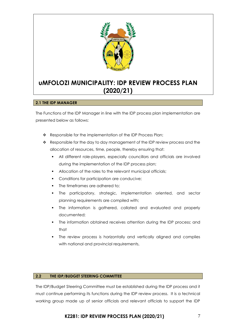

#### <span id="page-7-0"></span>**2.1 THE IDP MANAGER**

The Functions of the IDP Manager in line with the IDP process plan implementation are presented below as follows:

- ❖ Responsible for the implementation of the IDP Process Plan;
- ❖ Responsible for the day to day management of the IDP review process and the allocation of resources, time, people, thereby ensuring that:
	- All different role-players, especially councillors and officials are involved during the implementation of the IDP process plan;
	- Allocation of the roles to the relevant municipal officials;
	- Conditions for participation are conducive;
	- The timeframes are adhered to;
	- The participatory, strategic, implementation oriented, and sector planning requirements are compiled with;
	- The information is gathered, collated and evaluated and properly documented;
	- The information obtained receives attention during the IDP process; and that
	- The review process is horizontally and vertically aligned and complies with national and provincial requirements,

#### <span id="page-7-1"></span>**2.2 THE IDP/BUDGET STEERING COMMITTEE**

The IDP/Budget Steering Committee must be established during the IDP process and it must continue performing its functions during the IDP review process. It is a technical working group made up of senior officials and relevant officials to support the IDP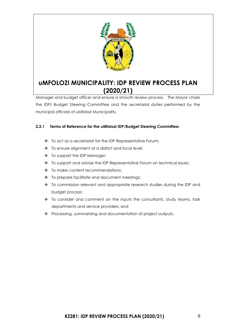

Manager and budget officer and ensure a smooth review process. The Mayor chairs the IDP/ Budget Steering Committee and the secretarial duties performed by the municipal officials of uMfolozi Municipality.

### **2.2.1 Terms of Reference for the uMfolozi IDP/Budget Steering Committee:**

- ❖ To act as a secretariat for the IDP Representative Forum;
- ❖ To ensure alignment at a district and local level;
- ❖ To support the IDP Manager;
- ❖ To support and advise the IDP Representative Forum on technical issues;
- ❖ To make content recommendations;
- ❖ To prepare facilitate and document meetings;
- ❖ To commission relevant and appropriate research studies during the IDP and budget process;
- ❖ To consider and comment on the inputs the consultants, study teams, task departments and service providers; and
- ❖ Processing, summarising and documentation of project outputs,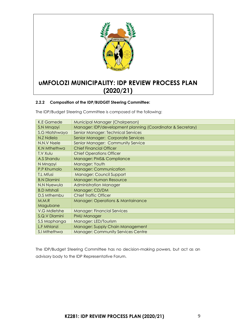

### **2.2.2 Composition of the IDP/BUDGET Steering Committee:**

The IDP/Budget Steering Committee is composed of the following:

| Municipal Manager (Chairperson)                             |  |  |
|-------------------------------------------------------------|--|--|
| Manager: IDP/development planning (Coordinator & Secretary) |  |  |
| Senior Manager: Technical Services                          |  |  |
| Senior Manager: Corporate Services                          |  |  |
| Senior Manager: Community Service                           |  |  |
| <b>Chief Financial Officer</b>                              |  |  |
| <b>Chief Operations Officer</b>                             |  |  |
| Manager: PMS& Compliance                                    |  |  |
| Manager: Youth                                              |  |  |
| <b>Manager: Communication</b>                               |  |  |
| <b>Manager: Council Support</b>                             |  |  |
| Manager: Human Resource                                     |  |  |
| <b>Administration Manager</b>                               |  |  |
| Manager: CD/DM                                              |  |  |
| <b>Chief Traffic Officer</b>                                |  |  |
| <b>Manager: Operations &amp; Mantainance</b>                |  |  |
|                                                             |  |  |
| <b>Manager: Financial Services</b>                          |  |  |
| <b>PMU Manager</b>                                          |  |  |
| Manager: LED/Tourism                                        |  |  |
| Manager: Supply Chain Management                            |  |  |
| <b>Manager: Community Services Centre</b>                   |  |  |
|                                                             |  |  |

The IDP/Budget Steering Committee has no decision-making powers, but act as an advisory body to the IDP Representative Forum.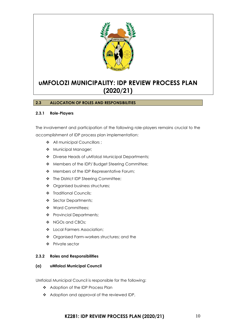

### <span id="page-10-0"></span>**2.3 ALLOCATION OF ROLES AND RESPONSIBILITIES**

#### **2.3.1 Role-Players**

The involvement and participation of the following role-players remains crucial to the accomplishment of IDP process plan implementation:

- ❖ All municipal Councillors ;
- ❖ Municipal Manager;
- ❖ Diverse Heads of uMfolozi Municipal Departments;
- ❖ Members of the IDP/ Budget Steering Committee;
- ❖ Members of the IDP Representative Forum;
- ❖ The District IDP Steering Committee;
- ❖ Organised business structures;
- ❖ Traditional Councils;
- ❖ Sector Departments;
- ❖ Ward Committees;
- ❖ Provincial Departments;
- ❖ NGOs and CBOs;
- ❖ Local Farmers Association;
- ❖ Organised Farm-workers structures; and the
- ❖ Private sector

#### **2.3.2 Roles and Responsibilities**

#### **(a) uMfolozi Municipal Council**

UMfolozi Municipal Council is responsible for the following:

- ❖ Adoption of the IDP Process Plan
- ❖ Adoption and approval of the reviewed IDP,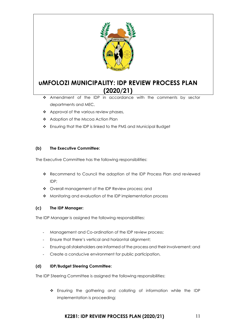

- ❖ Amendment of the IDP in accordance with the comments by sector departments and MEC,
- ❖ Approval of the various review phases,
- ❖ Adoption of the Mscoa Action Plan
- ❖ Ensuring that the IDP is linked to the PMS and Municipal Budget

### **(b) The Executive Committee:**

The Executive Committee has the following responsibilities:

- ❖ Recommend to Council the adoption of the IDP Process Plan and reviewed IDP;
- ❖ Overall management of the IDP Review process; and
- ❖ Monitoring and evaluation of the IDP implementation process

#### **(c) The IDP Manager:**

The IDP Manager is assigned the following responsibilities:

- Management and Co-ordination of the IDP review process;
- Ensure that there's vertical and horizontal alignment;
- Ensuring all stakeholders are informed of the process and their involvement; and
- Create a conducive environment for public participation,

#### **(d) IDP/Budget Steering Committee:**

The IDP Steering Committee is assigned the following responsibilities:

❖ Ensuring the gathering and collating of information while the IDP implementation is proceeding;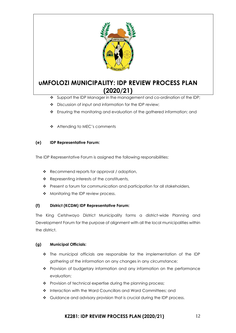

- ❖ Support the IDP Manager in the management and co-ordination of the IDP;
- ❖ Discussion of input and information for the IDP review;
- ❖ Ensuring the monitoring and evaluation of the gathered information; and
- ❖ Attending to MEC's comments

#### **(e) IDP Representative Forum:**

The IDP Representative Forum is assigned the following responsibilities:

- ❖ Recommend reports for approval / adoption,
- ❖ Representing interests of the constituents,
- ❖ Present a forum for communication and participation for all stakeholders,
- ❖ Monitoring the IDP review process.

### **(f) District (KCDM) IDP Representative Forum:**

The King Cetshwayo District Municipality forms a district-wide Planning and Development Forum for the purpose of alignment with all the local municipalities within the district.

### **(g) Municipal Officials:**

- ❖ The municipal officials are responsible for the implementation of the IDP gathering of the information on any changes in any circumstance;
- ❖ Provision of budgetary information and any information on the performance evaluation;
- ❖ Provision of technical expertise during the planning process;
- ❖ Interaction with the Ward Councillors and Ward Committees; and
- ❖ Guidance and advisory provision that is crucial during the IDP process.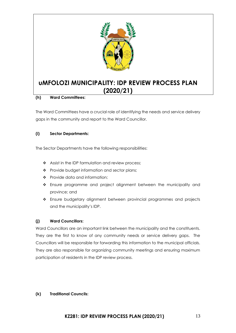

#### **(h) Ward Committees:**

The Ward Committees have a crucial role of identifying the needs and service delivery gaps in the community and report to the Ward Councillor.

#### **(i) Sector Departments:**

The Sector Departments have the following responsibilities:

- ❖ Assist in the IDP formulation and review process;
- ❖ Provide budget information and sector plans;
- ❖ Provide data and information;
- ❖ Ensure programme and project alignment between the municipality and province; and
- ❖ Ensure budgetary alignment between provincial programmes and projects and the municipality's IDP.

#### **(j) Ward Councillors:**

Ward Councillors are an important link between the municipality and the constituents. They are the first to know of any community needs or service delivery gaps. The Councillors will be responsible for forwarding this information to the municipal officials. They are also responsible for organizing community meetings and ensuring maximum participation of residents in the IDP review process.

#### **(k) Traditional Councils:**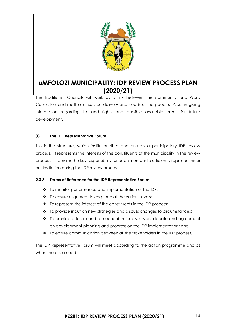

The Traditional Councils will work as a link between the community and Ward Councillors and matters of service delivery and needs of the people. Assist in giving information regarding to land rights and possible available areas for future development.

### **(l) The IDP Representative Forum:**

This is the structure, which institutionalises and ensures a participatory IDP review process. It represents the interests of the constituents of the municipality in the review process. It remains the key responsibility for each member to efficiently represent his or her institution during the IDP review process

### **2.3.3 Terms of Reference for the IDP Representative Forum:**

- ❖ To monitor performance and implementation of the IDP;
- ❖ To ensure alignment takes place at the various levels;
- ❖ To represent the interest of the constituents in the IDP process;
- ❖ To provide input on new strategies and discuss changes to circumstances;
- ❖ To provide a forum and a mechanism for discussion, debate and agreement on development planning and progress on the IDP implementation; and
- ❖ To ensure communication between all the stakeholders in the IDP process.

The IDP Representative Forum will meet according to the action programme and as when there is a need.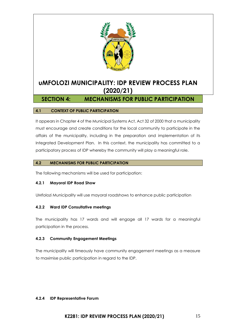

### <span id="page-15-0"></span>**SECTION 4: MECHANISMS FOR PUBLIC PARTICIPATION**

#### <span id="page-15-1"></span>**4.1 CONTEXT OF PUBLIC PARTICIPATION**

It appears in Chapter 4 of the Municipal Systems Act, Act 32 of 2000 that a municipality must encourage and create conditions for the local community to participate in the affairs of the municipality, including in the preparation and implementation of its Integrated Development Plan. In this context, the municipality has committed to a participatory process of IDP whereby the community will play a meaningful role.

#### <span id="page-15-2"></span>**4.2 MECHANISMS FOR PUBLIC PARTICIPATION**

The following mechanisms will be used for participation:

#### **4.2.1 Mayoral IDP Road Show**

UMfolozi Municipality will use mayoral roadshows to enhance public participation

#### **4.2.2 Ward IDP Consultative meetings**

The municipality has 17 wards and will engage all 17 wards for a meaningful participation in the process.

#### **4.2.3 Community Engagement Meetings**

The municipality will timeously have community engagement meetings as a measure to maximise public participation in regard to the IDP.

#### **4.2.4 IDP Representative Forum**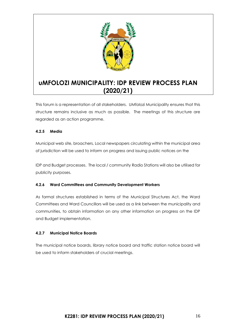

This forum is a representation of all stakeholders. UMfolozi Municipality ensures that this structure remains inclusive as much as possible. The meetings of this structure are regarded as an action programme.

### **4.2.5 Media**

Municipal web site, broachers, Local newspapers circulating within the municipal area of jurisdiction will be used to inform on progress and issuing public notices on the

IDP and Budget processes. The local / community Radio Stations will also be utilised for publicity purposes.

### **4.2.6 Ward Committees and Community Development Workers**

As formal structures established in terms of the Municipal Structures Act, the Ward Committees and Ward Councillors will be used as a link between the municipality and communities, to obtain information on any other information on progress on the IDP and Budget implementation.

### **4.2.7 Municipal Notice Boards**

The municipal notice boards, library notice board and traffic station notice board will be used to inform stakeholders of crucial meetings.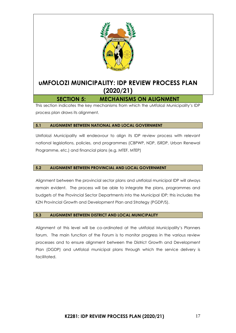![](_page_17_Picture_0.jpeg)

### **SECTION 5: MECHANISMS ON ALIGNMENT**

<span id="page-17-0"></span>This section indicates the key mechanisms from which the uMfolozi Municipality's IDP process plan draws its alignment.

#### <span id="page-17-1"></span>**5.1 ALIGNMENT BETWEEN NATIONAL AND LOCAL GOVERNMENT**

UMfolozi Municipality will endeavour to align its IDP review process with relevant national legislations, policies, and programmes (CBPWP, NDP, ISRDP, Urban Renewal Programme, etc.) and financial plans (e.g. MTEF, MTEP)

### <span id="page-17-2"></span>**5.2 ALIGNMENT BETWEEN PROVINCIAL AND LOCAL GOVERNMENT**

Alignment between the provincial sector plans and uMfolozi municipal IDP will always remain evident. The process will be able to integrate the plans, programmes and budgets of the Provincial Sector Departments into the Municipal IDP; this includes the KZN Provincial Growth and Development Plan and Strategy (PGDP/S).

### <span id="page-17-3"></span>**5.3 ALIGNMENT BETWEEN DISTRICT AND LOCAL MUNICIPALITY**

Alignment at this level will be co-ordinated at the uMfolozi Municipality's Planners forum. The main function of the Forum is to monitor progress in the various review processes and to ensure alignment between the District Growth and Development Plan (DGDP) and uMfolozi municipal plans through which the service delivery is facilitated.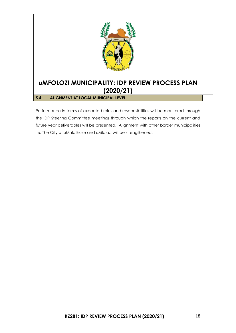![](_page_18_Picture_0.jpeg)

<span id="page-18-0"></span>Performance in terms of expected roles and responsibilities will be monitored through the IDP Steering Committee meetings through which the reports on the current and future year deliverables will be presented. Alignment with other border municipalities i.e. The City of uMhlathuze and uMlalazi will be strengthened.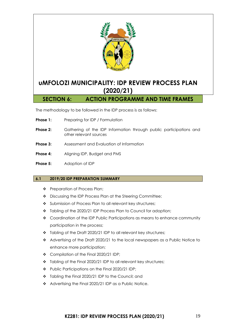![](_page_19_Picture_0.jpeg)

<span id="page-19-0"></span>The methodology to be followed in the IDP process is as follows:

- **Phase 1:** Preparing for IDP / Formulation
- **Phase 2:** Gathering of the IDP Information through public participations and other relevant sources
- **Phase 3:** Assessment and Evaluation of Information
- **Phase 4:** Aligning IDP, Budget and PMS
- **Phase 5:** Adoption of IDP

#### <span id="page-19-1"></span>**6.1 2019/20 IDP PREPARATION SUMMARY**

- ❖ Preparation of Process Plan;
- ❖ Discussing the IDP Process Plan at the Steering Committee;
- ❖ Submission of Process Plan to all relevant key structures;
- ❖ Tabling of the 2020/21 IDP Process Plan to Council for adoption;
- ❖ Coordination of the IDP Public Participations as means to enhance community participation in the process;
- ❖ Tabling of the Draft 2020/21 IDP to all relevant key structures;
- ❖ Advertising of the Draft 2020/21 to the local newspapers as a Public Notice to enhance more participation;
- ❖ Compilation of the Final 2020/21 IDP;
- ❖ Tabling of the Final 2020/21 IDP to all relevant key structures;
- ❖ Public Participations on the Final 2020/21 IDP;
- ❖ Tabling the Final 2020/21 IDP to the Council; and
- ❖ Advertising the Final 2020/21 IDP as a Public Notice.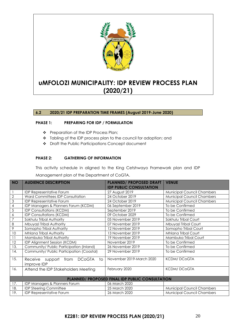![](_page_20_Picture_0.jpeg)

<span id="page-20-0"></span>**6.2 2020/21 IDP PREPARATION TIME FRAMES (August 2019-June 2020)**

#### **PHASE 1: PREPARING FOR IDP / FORMULATION**

- ❖ Preparation of the IDP Process Plan;
- ❖ Tabling of the IDP process plan to the council for adoption; and
- ❖ Draft the Public Participations Concept document

#### **PHASE 2: GATHERING OF INFORMATION**

This activity schedule in aligned to the King Cetshwayo Framework plan and IDP Management plan of the Department of CoGTA.

| <b>NO</b>                 | <b>AUDIENCE DESCRIPTION</b>                                   | <b>PLANNED/ PROPOSED DRAFT</b><br><b>IDP PUBLIC CONSULTATION</b> | <b>VENUE</b>                      |
|---------------------------|---------------------------------------------------------------|------------------------------------------------------------------|-----------------------------------|
|                           | <b>IDP Representative Forum</b>                               | 27 August 2019                                                   | <b>Municipal Council Chambers</b> |
| $\mathbf{2}$              | <b>Ward Committees IDP Consultation</b>                       | 24 October 2019                                                  | <b>Municipal Council Chambers</b> |
| $\ensuremath{\mathsf{3}}$ | <b>IDP Representative Forum</b>                               | 24 October 2019                                                  | <b>Municipal Council Chambers</b> |
| 4                         | IDP Managers & Planners Forum (KCDM)                          | 06 September 2019                                                | To be Confirmed                   |
| 5                         | <b>IDP Consultations (KCDM)</b>                               | September 2019                                                   | To be Confirmed                   |
| 6                         | <b>IDP Consultations (KCDM)</b>                               | 09 October 2029                                                  | To be Confirmed                   |
| 7                         | Sokhulu Tribal Authority                                      | 05 November 2019                                                 | Sokhulu Tribal Court              |
| 8                         | Mbuyazi Tribal Authority                                      | 07 November 2019                                                 | Mbuyazi Tribal Court              |
| 9                         | Somopho Tribal Authority                                      | 12 November 2019                                                 | Somopho Tribal Court              |
| 10                        | <b>Mhlana Tribal Authority</b>                                | 13 November 2019                                                 | Mhlana Tribal Court               |
| 11                        | Mambuka Tribal Authority                                      | 19 November 2019                                                 | Mambuka Tribal Court              |
| 12                        | IDP Alignment Session (KCDM)                                  | November 2019                                                    | To be Confirmed                   |
| 13.                       | Community/ Public Participation (Inland)                      | 26 November 2019                                                 | To be Confirmed                   |
| 14.                       | Community/ Public Participation (Coastal)                     | 29 November 2019                                                 | To be Confirmed                   |
| 15.                       | Receive support<br><b>DCoGTA</b><br>from<br>to<br>improve IDP | November 2019-March 2020                                         | <b>KCDM/DCoGTA</b>                |
| 16.                       | Attend the IDP Stakeholders Meeting                           | February 2020                                                    | <b>KCDM/DCoGTA</b>                |
|                           |                                                               | PLANNED/ PROPOSED FINAL IDP PUBLIC CONSULTATION                  |                                   |
| 17.                       | IDP Managers & Planners Forum                                 | 06 March 2020                                                    |                                   |
| 18.                       | <b>IDP Steering Committee</b>                                 | 25 March 2020                                                    | <b>Municipal Council Chambers</b> |
| 19.                       | <b>IDP Representative Forum</b>                               | 26 March 2020                                                    | <b>Municipal Council Chambers</b> |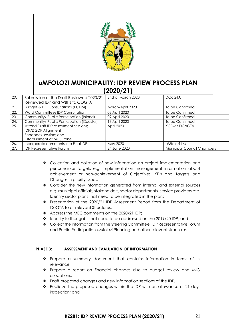![](_page_21_Picture_0.jpeg)

| 20. | Submission of the Draft Reviewed 2020/21     | End of March 2020 | <b>DCoGTA</b>                     |
|-----|----------------------------------------------|-------------------|-----------------------------------|
|     | Reviewed IDP and WBPs to COGTA               |                   |                                   |
| 21. | <b>Budget &amp; IDP Consultations (KCDM)</b> | March/April 2020  | To be Confirmed                   |
| 22. | Ward Committees IDP Consultation             | 08 April 2020     | To be Confirmed                   |
| 23. | Community/ Public Participation (Inland)     | 09 April 2020     | To be Confirmed                   |
| 24. | Community/ Public Participation (Coastal)    | 18 April 2020     | To be Confirmed                   |
| 25. | Attend Draft IDP assessment sessions;        | April 2020        | <b>KCDM/DCoGTA</b>                |
|     | <b>IDP/DGDP Alignment</b>                    |                   |                                   |
|     | Feedback session; and                        |                   |                                   |
|     | Establishment of MEC Panel                   |                   |                                   |
| 26. | Incorporate comments into Final IDP.         | May 2020          | uMfolozi LM                       |
| 27. | <b>IDP Representative Forum</b>              | 24 June 2020      | <b>Municipal Council Chambers</b> |

- ❖ Collection and collation of new information on project implementation and performance targets e.g. Implementation management information about achievement or non-achievement of Objectives, KPIs and Targets and Changes in priority issues;
- ❖ Consider the new information generated from internal and external sources e.g. municipal officials, stakeholders, sector departments, service providers etc. Identify sector plans that need to be integrated in the plan;
- ❖ Presentation of the 2020/21 IDP Assessment Report from the Department of CoGTA to all relevant Structures;
- ❖ Address the MEC comments on the 2020/21 IDP;
- ❖ Identify further gabs that need to be addressed on the 2019/20 IDP; and
- ❖ Collect the information from the Steering Committee, IDP Representative Forum and Public Participation uMfolozi Planning and other relevant structures.

#### **PHASE 3: ASSESSMENT AND EVALUATION OF INFORMATION**

- ❖ Prepare a summary document that contains information in terms of its relevance;
- ❖ Prepare a report on financial changes due to budget review and MIG allocations;
- ❖ Draft proposed changes and new information sections of the IDP;
- ❖ Publicize the proposed changes within the IDP with an allowance of 21 days inspection; and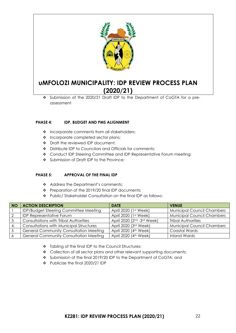![](_page_22_Picture_0.jpeg)

❖ Submission of the 2020/21 Draft IDP to the Department of CoGTA for a preassessment

#### **PHASE 4: IDP, BUDGET AND PMS ALIGNMENT**

- ❖ Incorporate comments from all stakeholders;
- ❖ Incorporate completed sector plans;
- ❖ Draft the reviewed IDP document;
- ❖ Distribute IDP to Councilors and Officials for comments;
- ❖ Conduct IDP Steering Committee and IDP Representative Forum meeting;
- ❖ Submission of Draft IDP to the Province;

#### **PHASE 5: APPROVAL OF THE FINAL IDP**

- ❖ Address the Department's comments;
- ❖ Preparation of the 2019/20 final IDP documents;
- ❖ Public/ Stakeholder Consultation on the final IDP as follows:

| <b>NO</b> | <b>ACTION DESCRIPTION</b>                      | <b>DATE</b>                       | <b>VENUE</b>                      |
|-----------|------------------------------------------------|-----------------------------------|-----------------------------------|
|           | <b>IDP/Budget Steering Committee Meeting</b>   | April 2020 (1st Week)             | <b>Municipal Council Chambers</b> |
|           | <b>IDP Representative Forum</b>                | April 2020 (1st Week)             | <b>Municipal Council Chambers</b> |
|           | <b>Consultations with Tribal Authorities</b>   | April 2020 (2nd -3rd Week)        | <b>Tribal Authorities</b>         |
|           | <b>Consultations with Municipal Structures</b> | April 2020 (3rd Week)             | <b>Municipal Council Chambers</b> |
|           | <b>General Community Consultation Meeting</b>  | April 2020 (4 <sup>th</sup> Week) | Coastal Wards                     |
|           | <b>General Community Consultation Meeting</b>  | April 2020 (4 <sup>th</sup> Week) | <b>Inland Wards</b>               |

- ❖ Tabling of the final IDP to the Council Structures;
- ❖ Collection of all sector plans and other relevant supporting documents;
- ❖ Submission of the final 2019/20 IDP to the Department of CoGTA; and
- ❖ Publicize the final 2020/21 IDP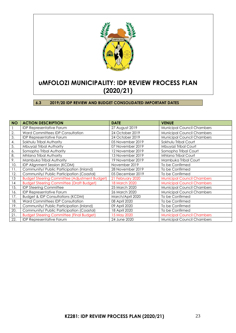![](_page_23_Picture_0.jpeg)

<span id="page-23-0"></span>**6.3 2019/20 IDP REVIEW AND BUDGET CONSOLIDATED IMPORTANT DATES**

| <b>NO</b> | <b>ACTION DESCRIPTION</b>                            | <b>DATE</b>      | <b>VENUE</b>                      |
|-----------|------------------------------------------------------|------------------|-----------------------------------|
|           | <b>IDP Representative Forum</b>                      | 27 August 2019   | <b>Municipal Council Chambers</b> |
| 2.        | <b>Ward Committees IDP Consultation</b>              | 24 October 2019  | Municipal Council Chambers        |
| 3.        | <b>IDP Representative Forum</b>                      | 24 October 2019  | <b>Municipal Council Chambers</b> |
| 4.        | Sokhulu Tribal Authority                             | 05 November 2019 | Sokhulu Tribal Court              |
| 5.        | Mbuyazi Tribal Authority                             | 07 November 2019 | Mbuyazi Tribal Court              |
| 6.        | Somopho Tribal Authority                             | 12 November 2019 | Somopho Tribal Court              |
| 8.        | Mhlana Tribal Authority                              | 13 November 2019 | <b>Mhlana Tribal Court</b>        |
| 9.        | Mambuka Tribal Authority                             | 19 November 2019 | Mambuka Tribal Court              |
| 10.       | IDP Alignment Session (KCDM)                         | November 2019    | To be Confirmed                   |
| 11.       | Community/ Public Participation (Inland)             | 28 November 2019 | To be Confirmed                   |
| 12.       | Community/ Public Participation (Coastal)            | 05 December 2019 | To be Confirmed                   |
| 13        | <b>Budget Steering Committee (Adjustment Budget)</b> | 21 February 2020 | <b>Municipal Council Chambers</b> |
| 14        | <b>Budget Steering Committee (Draft Budget)</b>      | 18 March 2020    | <b>Municipal Council Chambers</b> |
| 15.       | <b>IDP Steering Committee</b>                        | 25 March 2020    | Municipal Council Chambers        |
| 16.       | <b>IDP Representative Forum</b>                      | 26 March 2020    | <b>Municipal Council Chambers</b> |
| 17.       | <b>Budget &amp; IDP Consultations (KCDM)</b>         | March/April 2020 | To be Confirmed                   |
| 18.       | Ward Committees IDP Consultation                     | 08 April 2020    | To be Confirmed                   |
| 19.       | Community/ Public Participation (Inland)             | 09 April 2020    | To be Confirmed                   |
| 20.       | Community/ Public Participation (Coastal)            | 18 April 2020    | To be Confirmed                   |
| 21.       | <b>Budget Steering Committee (Final Budget)</b>      | 15 May 2020      | <b>Municipal Council Chambers</b> |
| 22.       | <b>IDP Representative Forum</b>                      | 24 June 2020     | <b>Municipal Council Chambers</b> |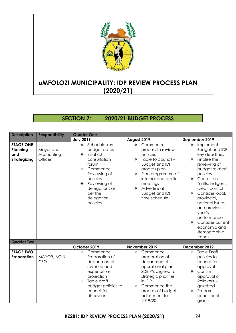![](_page_24_Picture_0.jpeg)

### <span id="page-24-0"></span>**SECTION 7: 2020/21 BUDGET PROCESS**

| <b>Description</b>                                  | <b>Responsibility</b>              | <b>Quarter One</b>                                                                                                                                                                                    |                                                                                                                                                                                                                                                                |                                                                                                                                                                                                                                                                                                                                                                                           |  |
|-----------------------------------------------------|------------------------------------|-------------------------------------------------------------------------------------------------------------------------------------------------------------------------------------------------------|----------------------------------------------------------------------------------------------------------------------------------------------------------------------------------------------------------------------------------------------------------------|-------------------------------------------------------------------------------------------------------------------------------------------------------------------------------------------------------------------------------------------------------------------------------------------------------------------------------------------------------------------------------------------|--|
|                                                     |                                    | <b>July 2019</b>                                                                                                                                                                                      | August 2019                                                                                                                                                                                                                                                    | September 2019                                                                                                                                                                                                                                                                                                                                                                            |  |
| <b>STAGE ONE</b><br>Planning<br>and<br>Strategizing | Mayor and<br>Accounting<br>Officer | Schedule key<br>❖<br>budget dates<br>Establish<br>❖<br>consultation<br>forum<br>Commence<br>❖<br>Reviewing of<br>policies<br>Reviewing of<br>❖<br>delegations as<br>per the<br>delegation<br>policies | $\ddot{\bullet}$<br>Commence<br>process to review<br>policies<br>Table to council -<br>❖<br><b>Budget and IDP</b><br>process plan<br>Plan programme of<br>❖<br>internal and public<br>meetings<br>Advertise all<br>❖<br><b>Budget and IDP</b><br>time schedule | Implement<br>$\cdot$<br><b>Budget and IDP</b><br>key deadlines<br>Finalise the<br>❖<br>reviewing of<br>budget related<br>policies<br>❖ Consult on<br>Tariffs, indigent,<br>credit control<br>Consider local,<br>$\frac{1}{2}$<br>provincial,<br>national issues<br>and previous<br>year's<br>performance<br>Consider current<br>$\ddot{\bullet}$<br>economic and<br>demographic<br>trends |  |
| <b>Quarter Two</b>                                  |                                    |                                                                                                                                                                                                       |                                                                                                                                                                                                                                                                |                                                                                                                                                                                                                                                                                                                                                                                           |  |
|                                                     |                                    | October 2019                                                                                                                                                                                          | November 2019                                                                                                                                                                                                                                                  | December 2019                                                                                                                                                                                                                                                                                                                                                                             |  |
| <b>STAGE TWO</b><br>Preparation                     | MAYOR, AO &<br><b>CFO</b>          | Commence<br>❖<br>Preparation of<br>departmental<br>revenue and<br>expenditure<br>projection<br>Table draft<br>❖<br>budget policies to<br>council for<br>discussion                                    | Commence<br>❖<br>preparation of<br>departmental<br>operational plan,<br>SDBIP's aligned to<br>strategic priorities<br>in IDP<br>Commence the<br>❖<br>process of budget<br>adjustment for<br>2019/20                                                            | <b>Table Draft</b><br>❖<br>policies to<br>council for<br>approval<br>Confirm<br>❖<br>approval of<br>Rollovers -<br>gazetted<br>❖ Prepare<br>conditional<br>grants                                                                                                                                                                                                                         |  |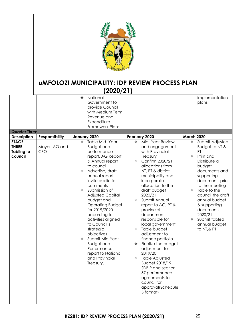![](_page_25_Picture_0.jpeg)

| <b>Quarter Three</b><br><b>Description</b>   | <b>Responsibility</b>       | National<br>❖<br>Government to<br>provide Council<br>with Medium Term<br>Revenue and<br>Expenditure<br>Framework Plans<br>January 2020                                                                                                                                                                                                                                                                                                                                         | February 2020                                                                                                                                                                                                                                                                                                                                                                                                                                                                                                                                                                                  | implementation<br>plans<br><b>March 2020</b>                                                                                                                                                                                                                                                    |
|----------------------------------------------|-----------------------------|--------------------------------------------------------------------------------------------------------------------------------------------------------------------------------------------------------------------------------------------------------------------------------------------------------------------------------------------------------------------------------------------------------------------------------------------------------------------------------|------------------------------------------------------------------------------------------------------------------------------------------------------------------------------------------------------------------------------------------------------------------------------------------------------------------------------------------------------------------------------------------------------------------------------------------------------------------------------------------------------------------------------------------------------------------------------------------------|-------------------------------------------------------------------------------------------------------------------------------------------------------------------------------------------------------------------------------------------------------------------------------------------------|
| <b>STAGE</b>                                 |                             | Table Mid-Year<br>❖                                                                                                                                                                                                                                                                                                                                                                                                                                                            | Mid-Year Review<br>❖                                                                                                                                                                                                                                                                                                                                                                                                                                                                                                                                                                           | Submit Adjusted<br>❖                                                                                                                                                                                                                                                                            |
| <b>THREE</b><br><b>Tabling to</b><br>council | Mayor, AO and<br><b>CFO</b> | <b>Budget and</b><br>performance<br>report, AG Report<br>& Annual report<br>to council<br>Advertise, draft<br>❖<br>annual report<br>invite public for<br>comments<br>Submission of<br>❖<br><b>Adjusted Capital</b><br>budget and<br><b>Operating Budget</b><br>for 2019/2020<br>according to<br>activities aligned<br>to Council's<br>strategic<br>objectives<br>Submit Mid-Year<br>❖<br><b>Budget and</b><br>Performance<br>report to National<br>and Provincial<br>Treasury. | and engagement<br>with Provincial<br>Treasury<br>Confirm 2020/21<br>❖<br>allocations from<br>NT, PT & district<br>municipality and<br>incorporate<br>allocation to the<br>draft budget<br>2020/21<br>Submit Annual<br>❖<br>report to AG, PT &<br>provincial<br>department<br>responsible for<br>local government<br>Table budget<br>❖<br>adjustment to<br>finance portfolio<br>Finalize the budget<br>❖<br>adjustment for<br>2019/20<br><b>Table Adjusted</b><br>❖<br>Budget 2018/19,<br>SDBIP and section<br>57 performance<br>agreements to<br>council for<br>approval(Schedule<br>B format) | Budget to NT &<br>PT<br>Print and<br>❖<br>Distribute all<br>budget<br>documents and<br>supporting<br>documents prior<br>to the meeting<br>Table to the<br>❖<br>council the draft<br>annual budget<br>& supporting<br>documents<br>2020/21<br>Submit tabled<br>❖<br>annual budget<br>to NT, & PT |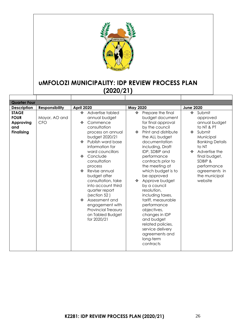![](_page_26_Picture_0.jpeg)

| <b>Quarter Four</b>                                                  |                             |                                       |                                                                                                                                                                                                                                                                                                                                                                                                                   |                 |                                                                                                                                                                                                                                                                                                                                                                                                                                                                                                                         |                                                             |                                                                                                                                                                                                                      |
|----------------------------------------------------------------------|-----------------------------|---------------------------------------|-------------------------------------------------------------------------------------------------------------------------------------------------------------------------------------------------------------------------------------------------------------------------------------------------------------------------------------------------------------------------------------------------------------------|-----------------|-------------------------------------------------------------------------------------------------------------------------------------------------------------------------------------------------------------------------------------------------------------------------------------------------------------------------------------------------------------------------------------------------------------------------------------------------------------------------------------------------------------------------|-------------------------------------------------------------|----------------------------------------------------------------------------------------------------------------------------------------------------------------------------------------------------------------------|
| <b>Description</b>                                                   | <b>Responsibility</b>       | April 2020                            |                                                                                                                                                                                                                                                                                                                                                                                                                   | <b>May 2020</b> |                                                                                                                                                                                                                                                                                                                                                                                                                                                                                                                         | <b>June 2020</b>                                            |                                                                                                                                                                                                                      |
| <b>STAGE</b><br><b>FOUR</b><br>Approving<br>and<br><b>Finalising</b> | Mayor, AO and<br><b>CFO</b> | ❖<br>❖<br>❖<br>❖<br>process<br>❖<br>❖ | Advertise tabled<br>annual budget<br>Commence<br>consultation<br>process on annual<br>budget 2020/21<br>Publish ward base<br>information for<br>ward councillors<br>Conclude<br>consultation<br>Revise annual<br>budget after<br>consultation, take<br>into account third<br>quarter report<br>(section 52)<br>Assessment and<br>engagement with<br><b>Provincial Treasury</b><br>on Tabled Budget<br>for 2020/21 | ❖<br>÷<br>❖     | Prepare the final<br>budget document<br>for final approval<br>by the council<br>Print and distribute<br>the ALL budget<br>documentation<br>including, Draft<br>IDP, SDBIP and<br>performance<br>contracts prior to<br>the meeting at<br>which budget is to<br>be approved<br>Approve budget<br>by a council<br>resolution,<br>including taxes,<br>tariff, measurable<br>performance<br>objectives,<br>changes in IDP<br>and budget<br>related policies,<br>service delivery<br>agreements and<br>long-term<br>contracts | $\mathbf{r}^{\star}_{\mathbf{r}^{\star}}$<br>$\bullet$<br>❖ | Submit<br>approved<br>annual budget<br>to NT & PT<br>Submit<br>Municipal<br><b>Banking Details</b><br>to NT<br>Advertise the<br>final budget,<br>SDBIP &<br>performance<br>agreements in<br>the municipal<br>website |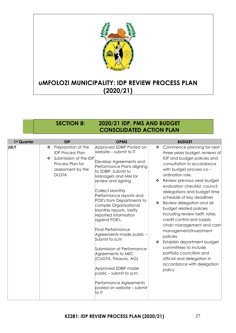![](_page_27_Picture_0.jpeg)

### <span id="page-27-0"></span>**SECTION 8: 2020/21 IDP, PMS AND BUDGET CONSOLIDATED ACTION PLAN**

| 1st Quarter | <b>IDP</b>                                                                                                                                | <b>OPMS</b>                                                                                                                                                                                                                                                                                                                                                                                                                                                                                                                                                                                                                    | <b>BUDGET</b>                                                                                                                                                                                                                                                                                                                                                                                                                                                                                                                                                                                                                                                                 |
|-------------|-------------------------------------------------------------------------------------------------------------------------------------------|--------------------------------------------------------------------------------------------------------------------------------------------------------------------------------------------------------------------------------------------------------------------------------------------------------------------------------------------------------------------------------------------------------------------------------------------------------------------------------------------------------------------------------------------------------------------------------------------------------------------------------|-------------------------------------------------------------------------------------------------------------------------------------------------------------------------------------------------------------------------------------------------------------------------------------------------------------------------------------------------------------------------------------------------------------------------------------------------------------------------------------------------------------------------------------------------------------------------------------------------------------------------------------------------------------------------------|
| JULY        | Preparation of the<br>❖<br><b>IDP Process Plan</b><br>Submission of the IDP<br>❖<br>Process Plan for<br>assessment by the<br><b>DLGTA</b> | Approved SDBIP Posted on<br>website - submit to IT<br>Develop Agreements and<br>Performance Plans aligning<br>to SDBIP. Submit to<br>Managers and MM for<br>review and signing<br>Collect Monthly<br>Performance reports and<br>POE's from Departments to<br>compile Organisational<br>Monthly reports. Verify<br>reported information<br>against POE's.<br><b>Final Performance</b><br>Agreements made public -<br>Submit to scm<br>Submission of Performance<br>Agreements to MEC<br>(CoGTA, Treasury, AG)<br>Approved SDBIP made<br>public – submit to scm<br>Performance Agreements<br>posted on website - submit<br>to IT | Commence planning for next<br>❖<br>three years budget, reviews of<br>IDP and budget policies and<br>consultation in accordance<br>with budget process co-<br>ordination role,<br>Review previous year budget<br>❖<br>evaluation checklist, council<br>delegations and budget time<br>schedule of key deadlines<br>Review delegation and all<br>❖<br>budget related policies<br>including review tariff, rates,<br>credit control and supply<br>chain management and cash<br>management/investment<br>policies<br>Establish department budget<br>❖<br>committees to include<br>portfolio councillors and<br>official and delegation in<br>accordance with delegation<br>policy |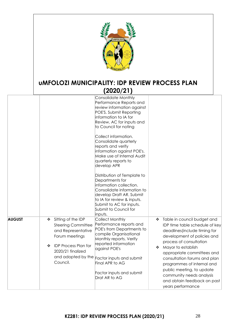![](_page_28_Picture_0.jpeg)

|               |                                                                                                                                                                                         | Consolidate Monthly<br>Performance Reports and<br>review information against<br>POE'S. Submit Reporting<br>information to IA for<br>Review, AC for inputs and<br>to Council for noting<br>Collect information.<br>Consolidate quarterly<br>reports and verify<br>information against POE's.<br>Make use of Internal Audit<br>quarterly reports to<br>develop APR<br>Distribution of Template to<br>Departments for<br>information collection.<br>Consolidate information to<br>develop Draft AR. Submit<br>to IA for review & inputs.<br>Submit to AC for inputs.<br>Submit to Council for<br>inputs. |                                                                                                                                                                                                                                                                                                                                                                                                   |
|---------------|-----------------------------------------------------------------------------------------------------------------------------------------------------------------------------------------|-------------------------------------------------------------------------------------------------------------------------------------------------------------------------------------------------------------------------------------------------------------------------------------------------------------------------------------------------------------------------------------------------------------------------------------------------------------------------------------------------------------------------------------------------------------------------------------------------------|---------------------------------------------------------------------------------------------------------------------------------------------------------------------------------------------------------------------------------------------------------------------------------------------------------------------------------------------------------------------------------------------------|
| <b>AUGUST</b> | Sitting of the IDP<br>❖<br><b>Steering Committee</b><br>and Representative<br>Forum meetings<br><b>IDP Process Plan for</b><br>❖<br>2020/21 finalized<br>and adopted by the<br>Council. | Collect Monthly<br>Performance reports and<br>POE's from Departments to<br>compile Organisational<br>Monthly reports. Verify<br>reported information<br>against POE's<br>Factor inputs and submit<br>Final APR to AG<br>Factor inputs and submit<br>Drat AR to AG                                                                                                                                                                                                                                                                                                                                     | Table in council budget and<br>❖<br>IDP time table schedule of key<br>deadlines (include timing for<br>development of policies and<br>process of consultation<br>Mayor to establish<br>❖<br>appropriate committees and<br>consultation forums and plan<br>programmes of internal and<br>public meeting, to update<br>community needs analysis<br>and obtain feedback on past<br>years performance |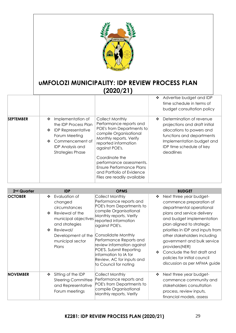![](_page_29_Picture_0.jpeg)

|                  |                                                                                                                                                                                 |                                                                                                                                                                                                                                                                                                                            | Advertise budget and IDP<br>❖<br>time schedule in terms of<br>budget consultation policy                                                                                                       |
|------------------|---------------------------------------------------------------------------------------------------------------------------------------------------------------------------------|----------------------------------------------------------------------------------------------------------------------------------------------------------------------------------------------------------------------------------------------------------------------------------------------------------------------------|------------------------------------------------------------------------------------------------------------------------------------------------------------------------------------------------|
| <b>SEPTEMBER</b> | Implementation of<br>❖<br>the IDP Process Plan<br><b>IDP Representative</b><br>❖<br>Forum Meeting<br>Commencement of<br>❖<br><b>IDP Analysis and</b><br><b>Strategies Phase</b> | <b>Collect Monthly</b><br>Performance reports and<br>POE's from Departments to<br>compile Organisational<br>Monthly reports. Verify<br>reported information<br>against POE's.<br>Coordinate the<br>performance assessments.<br><b>Ensure Performance Plans</b><br>and Portfolio of Evidence<br>Files are readily available | Determination of revenue<br>❖<br>projections and draft initial<br>allocations to powers and<br>functions and departments<br>Implementation budget and<br>IDP time schedule of key<br>deadlines |

| 2 <sup>nd</sup> Quarter | <b>IDP</b>                                                                                                                                                                            | <b>OPMS</b>                                                                                                                                                                                                                                                                                                                                                      | <b>BUDGET</b>                                                                                                                                                                                                                                                                                                                                                                                          |
|-------------------------|---------------------------------------------------------------------------------------------------------------------------------------------------------------------------------------|------------------------------------------------------------------------------------------------------------------------------------------------------------------------------------------------------------------------------------------------------------------------------------------------------------------------------------------------------------------|--------------------------------------------------------------------------------------------------------------------------------------------------------------------------------------------------------------------------------------------------------------------------------------------------------------------------------------------------------------------------------------------------------|
| <b>OCTOBER</b>          | Evaluation of<br>❖<br>changed<br>circumstances<br>Reviewal of the<br>❖<br>municipal objectives<br>and strategies<br>Reviewal/<br>❖<br>Development of the<br>municipal sector<br>Plans | Collect Monthly<br>Performance reports and<br>POE's from Departments to<br>compile Organisational<br>Monthly reports. Verify<br>reported information<br>against POE's.<br>Consolidate Monthly<br>Performance Reports and<br>review information against<br>POE'S. Submit Reporting<br>information to IA for<br>Review, AC for inputs and<br>to Council for noting | Next three year budget-<br>❖<br>commence preparation of<br>departmental operational<br>plans and service delivery<br>and budget implementation<br>plan aligned to strategic<br>priorities in IDP and inputs from<br>other stakeholders including<br>government and bulk service<br>providers(NER)<br>Conclude the first draft and<br>❖<br>policies for initial council<br>discussion as per MFMA guide |
| <b>NOVEMBER</b>         | Sitting of the IDP<br>❖<br><b>Steering Committee</b><br>and Representative<br>Forum meetings                                                                                          | <b>Collect Monthly</b><br>Performance reports and<br>POE's from Departments to<br>compile Organisational<br>Monthly reports. Verify                                                                                                                                                                                                                              | Next three year budget-<br>❖<br>commence community and<br>stakeholders consultation<br>process, review inputs,<br>financial models, assess                                                                                                                                                                                                                                                             |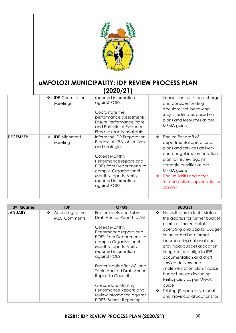|                 |                                              | <b>UMFOLOZI</b><br><b>UMFOLOZI MUNICIPALITY: IDP REVIEW PROCESS PLAN</b><br>(2020/21)                                                                                                                                                                       |                                                                                                                                                                                                                                                                                      |
|-----------------|----------------------------------------------|-------------------------------------------------------------------------------------------------------------------------------------------------------------------------------------------------------------------------------------------------------------|--------------------------------------------------------------------------------------------------------------------------------------------------------------------------------------------------------------------------------------------------------------------------------------|
|                 | <b>IDP</b> Consultation<br>❖<br>Meetings     | reported information<br>against POE's.<br>Coordinate the<br>performance assessments.<br><b>Ensure Performance Plans</b><br>and Portfolio of Evidence<br>Files are readily available                                                                         | impacts on tariffs and charges<br>and consider funding<br>decisions incl. borrowing<br>, adjust estimates based on<br>plans and resources as per<br>MFMA guide                                                                                                                       |
| <b>DECEMBER</b> | <b>IDP Alignment</b><br>❖<br>Meeting         | Inform the IDP Preparation<br>Process of KPA, objectives<br>and strategies<br><b>Collect Monthly</b><br>Performance reports and<br>POE's from Departments to<br>compile Organisational<br>Monthly reports. Verify<br>reported information<br>against POE's. | Finalize first draft of<br>❖<br>departmental operational<br>plans and services delivery<br>and budget implementation<br>plan for review against<br>strategic priorities as per<br>MFMA guide<br><b>Finalise Tariffs and other</b><br>❖<br>related policies applicable for<br>2020/21 |
| 3rd Quarter     | <b>IDP</b>                                   | <b>OPMS</b>                                                                                                                                                                                                                                                 | <b>BUDGET</b>                                                                                                                                                                                                                                                                        |
| <b>JANUARY</b>  | Attending to the<br>❖<br><b>MEC Comments</b> | <b>Factor inputs and Submit</b><br>Draft Annual Report to AG<br>Collect Monthly<br>Performance reports and<br>POE's from Departments to<br>compile Organisational<br>Monthly reports. Verify                                                                | Notes the president's state of<br>❖<br>the address for further budget<br>priorities, finalize details<br>operating and capital budget<br>in the prescribed format<br>incorporating national and<br>provincial budget allocation,                                                     |

reported information

Factor inputs after AG and Table Audited Draft Annual

against POE's.

Report to Council

Consolidate Monthly Performance Reports and review information against POE'S. Submit Reporting

integrate and align to IDP documentation and draft service delivery and

implementation plan, finalize budget polices including tariffs policy as per MFMA

❖ Tabling (Proposed National and Provincial allocations for

guide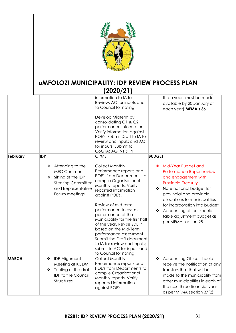![](_page_31_Picture_0.jpeg)

|              |                                                                                                                                                            | information to IA for<br>Review, AC for inputs and<br>to Council for noting                                                                                                                                                                                                                                                                                                                                                                                                                                | three years must be made<br>available by 20 January of<br>each year) MFMA s 36                                                                                                                                                                                                                                                               |
|--------------|------------------------------------------------------------------------------------------------------------------------------------------------------------|------------------------------------------------------------------------------------------------------------------------------------------------------------------------------------------------------------------------------------------------------------------------------------------------------------------------------------------------------------------------------------------------------------------------------------------------------------------------------------------------------------|----------------------------------------------------------------------------------------------------------------------------------------------------------------------------------------------------------------------------------------------------------------------------------------------------------------------------------------------|
|              |                                                                                                                                                            | Develop Midterm by<br>consolidating Q1 & Q2<br>performance information.<br>Verify information against<br>POE's. Submit Draft to IA for<br>review and inputs and AC<br>for inputs. Submit to<br>CoGTA; AG, NT & PT                                                                                                                                                                                                                                                                                          |                                                                                                                                                                                                                                                                                                                                              |
| February     | <b>IDP</b><br>Attending to the<br>❖<br><b>MEC Comments</b><br>Sitting of the IDP<br>❖<br><b>Steering Committee</b><br>and Representative<br>Forum meetings | <b>OPMS</b><br><b>Collect Monthly</b><br>Performance reports and<br>POE's from Departments to<br>compile Organisational<br>Monthly reports. Verify<br>reported information<br>against POE's.<br>Review of mid-term<br>performance to assess<br>performance of the<br>Municipality for the first half<br>of the year. Revise SDBIP<br>based on the Mid-Term<br>performance assessment.<br>Submit the Draft document<br>to IA for review and inputs;<br>submit to AC for inputs and<br>to Council for noting | <b>BUDGET</b><br>Mid-Year Budget and<br>❖<br>Performance Report review<br>and engagement with<br>Provincial Treasury.<br>Note national budget for<br>❖<br>provincial and provincial<br>allocations to municipalities<br>for incorporation into budget<br>Accounting officer should<br>❖<br>table adjustment budget as<br>per MFMA section 28 |
| <b>MARCH</b> | <b>IDP Alignment</b><br>❖<br>Meeting at KCDM<br>Tabling of the draft<br>❖<br><b>IDP to the Council</b><br>Structures                                       | Collect Monthly<br>Performance reports and<br>POE's from Departments to<br>compile Organisational<br>Monthly reports. Verify<br>reported information<br>against POE's.                                                                                                                                                                                                                                                                                                                                     | Accounting Officer should<br>❖<br>receive the notification of any<br>transfers that that will be<br>made to the municipality from<br>other municipalities in each of<br>the next three financial year<br>as per MFMA section 37(2)                                                                                                           |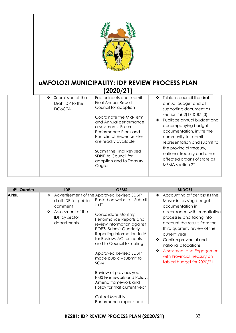|                                                                                                     | <b>UMFOLOZ</b><br><b>UMFOLOZI MUNICIPALITY: IDP REVIEW PROCESS PLAN</b><br>(2020/21)                                                                                                                                                                                                                                                  |                                                                                                                                                                                                                                                                                                                                                                         |
|-----------------------------------------------------------------------------------------------------|---------------------------------------------------------------------------------------------------------------------------------------------------------------------------------------------------------------------------------------------------------------------------------------------------------------------------------------|-------------------------------------------------------------------------------------------------------------------------------------------------------------------------------------------------------------------------------------------------------------------------------------------------------------------------------------------------------------------------|
| Submission of the<br>$\mathbf{r}^{\star}_{\mathbf{r}^{\star}}$<br>Draft IDP to the<br><b>DCoGTA</b> | Factor inputs and submit<br>Final Annual Report<br>Council for adoption<br>Coordinate the Mid-Term<br>and Annual performance<br>assessments. Ensure<br>Performance Plans and<br>Portfolio of Evidence Files<br>are readily available<br>Submit the Final Revised<br><b>SDBIP</b> to Council for<br>adoption and to Treasury,<br>Cogta | Table in council the draft<br>❖<br>annual budget and all<br>supporting document as<br>section 16(2)17 & 87 (3)<br>❖ Publicize annual budget and<br>accompanying budget<br>documentation, invite the<br>community to submit<br>representation and submit to<br>the provincial treasury,<br>national treasury and other<br>affected organs of state as<br>MFMA section 22 |

| 4 <sup>th</sup> Quarter | <b>IDP</b>                                                                                            | <b>OPMS</b>                                                                                                                                                                                                                                                                            | <b>BUDGET</b>                                                                                                                                                                                                                                                                            |
|-------------------------|-------------------------------------------------------------------------------------------------------|----------------------------------------------------------------------------------------------------------------------------------------------------------------------------------------------------------------------------------------------------------------------------------------|------------------------------------------------------------------------------------------------------------------------------------------------------------------------------------------------------------------------------------------------------------------------------------------|
| <b>APRIL</b>            | ❖<br>draft IDP for public<br>comment<br>Assessment of the<br>❖<br><b>IDP</b> by sector<br>departments | Advertisement of the Approved Revised SDBIP<br>Posted on website - Submit<br>to IT<br>Consolidate Monthly<br>Performance Reports and<br>review information against<br>POE'S. Submit Quarterly<br>Reporting information to IA<br>for Review, AC for inputs<br>and to Council for noting | Accounting officer assists the<br>❖<br>Mayor in revising budget<br>documentation in<br>accordance with consultative<br>processes and taking into<br>account the results from the<br>third quarterly review of the<br>current year<br>Confirm provincial and<br>❖<br>national allocations |
|                         |                                                                                                       | <b>Approved Revised SDBIP</b><br>made public - submit to<br><b>SCM</b>                                                                                                                                                                                                                 | Assessment and Engagement<br>❖<br>with Provincial Treasury on<br>tabled budget for 2020/21                                                                                                                                                                                               |
|                         |                                                                                                       | Review of previous years<br>PMS Framework and Policy.<br>Amend framework and<br>Policy for that current year<br>Collect Monthly<br>Performance reports and                                                                                                                             |                                                                                                                                                                                                                                                                                          |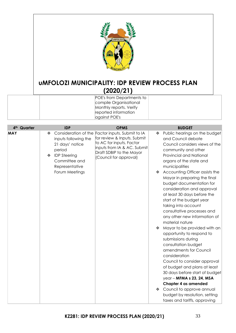![](_page_33_Picture_0.jpeg)

|  | $- - - - - - -$           |  |
|--|---------------------------|--|
|  | POE's from Departments to |  |
|  | compile Organisational    |  |
|  | Monthly reports. Verify   |  |
|  | reported information      |  |
|  | against POE's             |  |

| 4 <sup>th</sup> Quarter | <b>IDP</b>                                                                                                            | <b>OPMS</b>                                                                                                                                                                                      | <b>BUDGET</b>                                                                                                                                                                                                                                                                                                        |
|-------------------------|-----------------------------------------------------------------------------------------------------------------------|--------------------------------------------------------------------------------------------------------------------------------------------------------------------------------------------------|----------------------------------------------------------------------------------------------------------------------------------------------------------------------------------------------------------------------------------------------------------------------------------------------------------------------|
| <b>MAY</b>              | ❖<br>inputs following the<br>21 days' notice<br>period<br><b>IDP Steering</b><br>❖<br>Committee and<br>Representative | Consideration of the Factor inputs. Submit to IA<br>for review & Inputs. Submit<br>to AC for inputs. Factor<br>inputs from IA & AC. Submit<br>Draft SDBIP to the Mayor<br>(Council for approval) | Public hearings on the budget<br>❖<br>and Council debate<br>Council considers views of the<br>community and other<br>Provincial and National<br>organs of the state and<br>municipalities                                                                                                                            |
|                         | Forum Meetings                                                                                                        |                                                                                                                                                                                                  | Accounting Officer assists the<br>❖<br>Mayor in preparing the final<br>budget documentation for<br>consideration and approval<br>at least 30 days before the<br>start of the budget year<br>taking into account<br>consultative processes and<br>any other new information of<br>material nature                     |
|                         |                                                                                                                       |                                                                                                                                                                                                  | Mayor to be provided with an<br>❖<br>opportunity to respond to<br>submissions during<br>consultation budget<br>amendments for Council<br>consideration<br>Council to consider approval<br>of budget and plans at least<br>30 days before start of budget<br>year - MFMA s 23, 24, MSA<br><b>Chapter 4 as amended</b> |
|                         |                                                                                                                       |                                                                                                                                                                                                  | Council to approve annual<br>❖<br>budget by resolution, setting<br>taxes and tariffs, approving                                                                                                                                                                                                                      |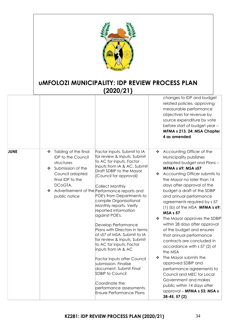![](_page_34_Picture_0.jpeg)

|             |                                                                                                                                                                   |                                                                                                                                                                                                                                                                                                                                                                                                                                                                                                                                                                                                                                                                                                                                                  | changes to IDP and budget<br>related policies, approving<br>measurable performance<br>objectives for revenue by<br>source expenditure by vote<br>before start of budget year -<br>MFMA s 213, 24: MSA Chapter<br>4 as amended                                                                                                                                                                                                                                                                                                                                                                                                                                                                                                                                                                   |
|-------------|-------------------------------------------------------------------------------------------------------------------------------------------------------------------|--------------------------------------------------------------------------------------------------------------------------------------------------------------------------------------------------------------------------------------------------------------------------------------------------------------------------------------------------------------------------------------------------------------------------------------------------------------------------------------------------------------------------------------------------------------------------------------------------------------------------------------------------------------------------------------------------------------------------------------------------|-------------------------------------------------------------------------------------------------------------------------------------------------------------------------------------------------------------------------------------------------------------------------------------------------------------------------------------------------------------------------------------------------------------------------------------------------------------------------------------------------------------------------------------------------------------------------------------------------------------------------------------------------------------------------------------------------------------------------------------------------------------------------------------------------|
| <b>JUNE</b> | Tabling of the final<br>❖<br><b>IDP</b> to the Council<br>structures<br>Submission of the<br>❖<br>Council adopted<br>final IDP to the<br>DCoGTA.<br>public notice | Factor inputs. Submit to IA<br>for review & Inputs. Submit<br>to AC for inputs. Factor<br>inputs from IA & AC. Submit<br>Draft SDBIP to the Mayor<br>(Council for approval)<br>Collect Monthly<br>Advertisement of the Performance reports and<br>POE's from Departments to<br>compile Organisational<br>Monthly reports. Verify<br>reported information<br>against POE's.<br>Develop Performance<br>Plans with Directors in terms<br>of s57 of MSA. Submit to IA<br>for review & Inputs. Submit<br>to AC for inputs. Factor<br>inputs from IA & AC<br><b>Factor inputs after Council</b><br>submission. Finalise<br>document. Submit Final<br>SDBIP to Council<br>Coordinate the<br>performance assessments.<br><b>Ensure Performance Plans</b> | Accounting Officer of the<br>❖<br>Municipality publishes<br>adopted budget and Plans-<br><b>MFMA s 69; MSA s57</b><br>Accounting Officer submits to<br>❖<br>the Mayor no later than 14<br>days after approval of the<br>budget a draft of the SDBIP<br>and annual performance<br>agreements required by s 57<br>$(1)$ (b) of the MSA <b>MFMA s 69;</b><br><b>MSA s 57</b><br>The Mayor approves the SDBIP<br>within 28 days after approval<br>of the budget and ensures<br>that annual performance<br>contracts are concluded in<br>accordance with s 57 (2) of<br>the MSA<br>The Mayor submits the<br>❖<br>approved SDBIP and<br>performance agreements to<br>Council and MEC for Local<br>Government and makes<br>public within 14 days after<br>approval - MFMA s 53; MSA s<br>38-45, 57 (2) |